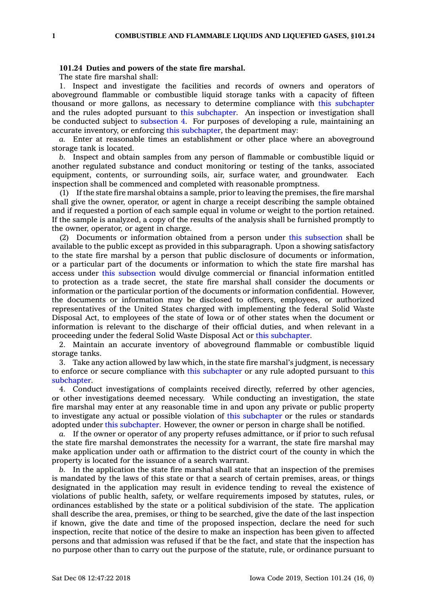## **101.24 Duties and powers of the state fire marshal.**

The state fire marshal shall:

1. Inspect and investigate the facilities and records of owners and operators of aboveground flammable or combustible liquid storage tanks with <sup>a</sup> capacity of fifteen thousand or more gallons, as necessary to determine compliance with this [subchapter](https://www.legis.iowa.gov/docs/code//101.pdf) and the rules adopted pursuant to this [subchapter](https://www.legis.iowa.gov/docs/code//101.pdf). An inspection or investigation shall be conducted subject to [subsection](https://www.legis.iowa.gov/docs/code/101.24.pdf) 4. For purposes of developing <sup>a</sup> rule, maintaining an accurate inventory, or enforcing this [subchapter](https://www.legis.iowa.gov/docs/code//101.pdf), the department may:

*a.* Enter at reasonable times an establishment or other place where an aboveground storage tank is located.

*b.* Inspect and obtain samples from any person of flammable or combustible liquid or another regulated substance and conduct monitoring or testing of the tanks, associated equipment, contents, or surrounding soils, air, surface water, and groundwater. Each inspection shall be commenced and completed with reasonable promptness.

(1) If the state fire marshal obtains <sup>a</sup> sample, prior to leaving the premises, the fire marshal shall give the owner, operator, or agent in charge <sup>a</sup> receipt describing the sample obtained and if requested <sup>a</sup> portion of each sample equal in volume or weight to the portion retained. If the sample is analyzed, <sup>a</sup> copy of the results of the analysis shall be furnished promptly to the owner, operator, or agent in charge.

(2) Documents or information obtained from <sup>a</sup> person under this [subsection](https://www.legis.iowa.gov/docs/code/101.24.pdf) shall be available to the public except as provided in this subparagraph. Upon <sup>a</sup> showing satisfactory to the state fire marshal by <sup>a</sup> person that public disclosure of documents or information, or <sup>a</sup> particular part of the documents or information to which the state fire marshal has access under this [subsection](https://www.legis.iowa.gov/docs/code/101.24.pdf) would divulge commercial or financial information entitled to protection as <sup>a</sup> trade secret, the state fire marshal shall consider the documents or information or the particular portion of the documents or information confidential. However, the documents or information may be disclosed to officers, employees, or authorized representatives of the United States charged with implementing the federal Solid Waste Disposal Act, to employees of the state of Iowa or of other states when the document or information is relevant to the discharge of their official duties, and when relevant in <sup>a</sup> proceeding under the federal Solid Waste Disposal Act or this [subchapter](https://www.legis.iowa.gov/docs/code//101.pdf).

2. Maintain an accurate inventory of aboveground flammable or combustible liquid storage tanks.

3. Take any action allowed by law which, in the state fire marshal's judgment, is necessary to enforce or secure compliance with this [subchapter](https://www.legis.iowa.gov/docs/code//101.pdf) or any rule adopted pursuant to [this](https://www.legis.iowa.gov/docs/code//101.pdf) [subchapter](https://www.legis.iowa.gov/docs/code//101.pdf).

4. Conduct investigations of complaints received directly, referred by other agencies, or other investigations deemed necessary. While conducting an investigation, the state fire marshal may enter at any reasonable time in and upon any private or public property to investigate any actual or possible violation of this [subchapter](https://www.legis.iowa.gov/docs/code//101.pdf) or the rules or standards adopted under this [subchapter](https://www.legis.iowa.gov/docs/code//101.pdf). However, the owner or person in charge shall be notified.

*a.* If the owner or operator of any property refuses admittance, or if prior to such refusal the state fire marshal demonstrates the necessity for <sup>a</sup> warrant, the state fire marshal may make application under oath or affirmation to the district court of the county in which the property is located for the issuance of <sup>a</sup> search warrant.

*b.* In the application the state fire marshal shall state that an inspection of the premises is mandated by the laws of this state or that <sup>a</sup> search of certain premises, areas, or things designated in the application may result in evidence tending to reveal the existence of violations of public health, safety, or welfare requirements imposed by statutes, rules, or ordinances established by the state or <sup>a</sup> political subdivision of the state. The application shall describe the area, premises, or thing to be searched, give the date of the last inspection if known, give the date and time of the proposed inspection, declare the need for such inspection, recite that notice of the desire to make an inspection has been given to affected persons and that admission was refused if that be the fact, and state that the inspection has no purpose other than to carry out the purpose of the statute, rule, or ordinance pursuant to